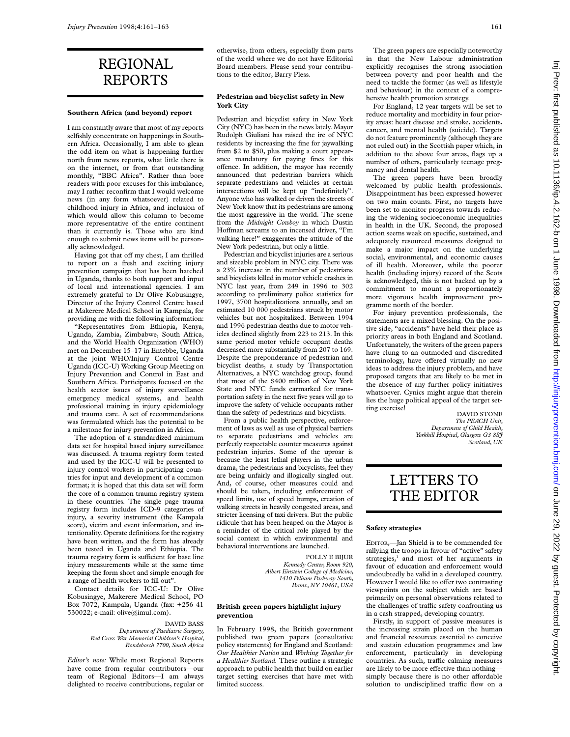# REGIONAL REPORTS

#### **Southern Africa (and beyond) report**

I am constantly aware that most of my reports selfishly concentrate on happenings in Southern Africa. Occasionally, I am able to glean the odd item on what is happening further north from news reports, what little there is on the internet, or from that outstanding monthly, "BBC Africa". Rather than bore readers with poor excuses for this imbalance, may I rather reconfirm that I would welcome news (in any form whatsoever) related to childhood injury in Africa, and inclusion of which would allow this column to become more representative of the entire continent than it currently is. Those who are kind enough to submit news items will be personally acknowledged.

Having got that off my chest, I am thrilled to report on a fresh and exciting injury prevention campaign that has been hatched in Uganda, thanks to both support and input of local and international agencies. I am extremely grateful to Dr Olive Kobusingye, Director of the Injury Control Centre based at Makerere Medical School in Kampala, for providing me with the following information:

"Representatives from Ethiopia, Kenya, Uganda, Zambia, Zimbabwe, South Africa, and the World Health Organization (WHO) met on December 15–17 in Entebbe, Uganda at the joint WHO/Injury Control Centre Uganda (ICC-U) Working Group Meeting on Injury Prevention and Control in East and Southern Africa. Participants focused on the health sector issues of injury surveillance emergency medical systems, and health professional training in injury epidemiology and trauma care. A set of recommendations was formulated which has the potential to be a milestone for injury prevention in Africa.

The adoption of a standardized minimum data set for hospital based injury surveillance was discussed. A trauma registry form tested and used by the ICC-U will be presented to injury control workers in participating countries for input and development of a common format; it is hoped that this data set will form the core of a common trauma registry system in these countries. The single page trauma registry form includes ICD-9 categories of injury, a severity instrument (the Kampala score), victim and event information, and intentionality. Operate definitions for the registry have been written, and the form has already been tested in Uganda and Ethiopia. The trauma registry form is sufficient for base line injury measurements while at the same time keeping the form short and simple enough for a range of health workers to fill out".

Contact details for ICC-U: Dr Olive Kobusingye, Makerere Medical School, PO Box 7072, Kampala, Uganda (fax: +256 41 530022; e-mail: olive@imul.com).

#### DAVID BASS *Department of Paediatric Surgery, Red Cross War Memorial Children's Hospital, Rondebosch 7700, South Africa*

*Editor's note:* While most Regional Reports have come from regular contributors—our team of Regional Editors—I am always delighted to receive contributions, regular or otherwise, from others, especially from parts of the world where we do not have Editorial Board members. Please send your contributions to the editor, Barry Pless.

# **Pedestrian and bicyclist safety in New York City**

Pedestrian and bicyclist safety in New York City (NYC) has been in the news lately.Mayor Rudolph Giuliani has raised the ire of NYC residents by increasing the fine for jaywalking from \$2 to \$50, plus making a court appearance mandatory for paying fines for this offence. In addition, the mayor has recently announced that pedestrian barriers which separate pedestrians and vehicles at certain intersections will be kept up "indefinitely". Anyone who has walked or driven the streets of New York know that its pedestrians are among the most aggressive in the world. The scene from the *Midnight Cowboy* in which Dustin Hoffman screams to an incensed driver, "I'm walking here!" exaggerates the attitude of the New York pedestrian, but only a little.

Pedestrian and bicyclist injuries are a serious and sizeable problem in NYC city. There was a 23% increase in the number of pedestrians and bicyclists killed in motor vehicle crashes in NYC last year, from 249 in 1996 to 302 according to preliminary police statistics for 1997, 3700 hospitalizations annually, and an estimated 10 000 pedestrians struck by motor vehicles but not hospitalized. Between 1994 and 1996 pedestrian deaths due to motor vehicles declined slightly from 223 to 213. In this same period motor vehicle occupant deaths decreased more substantially from 207 to 169. Despite the preponderance of pedestrian and bicyclist deaths, a study by Transportation Alternatives, a NYC watchdog group, found that most of the \$400 million of New York State and NYC funds earmarked for transportation safety in the next five years will go to improve the safety of vehicle occupants rather than the safety of pedestrians and bicyclists.

From a public health perspective, enforcement of laws as well as use of physical barriers to separate pedestrians and vehicles are perfectly respectable counter measures against pedestrian injuries. Some of the uproar is because the least lethal players in the urban drama, the pedestrians and bicyclists, feel they are being unfairly and illogically singled out. And, of course, other measures could and should be taken, including enforcement of speed limits, use of speed bumps, creation of walking streets in heavily congested areas, and stricter licensing of taxi drivers. But the public ridicule that has been heaped on the Mayor is a reminder of the critical role played by the social context in which environmental and behavioral interventions are launched.

> POLLY E BIJUR *Kennedy Center, Room 920, Albert Einstein College of Medicine, 1410 Pelham Parkway South, Bronx, NY 10461, USA*

### **British green papers highlight injury prevention**

In February 1998, the British government published two green papers (consultative policy statements) for England and Scotland: *Our Healthier Nation* and *Working Together for a Healthier Scotland.* These outline a strategic approach to public health that build on earlier target setting exercises that have met with limited success.

The green papers are especially noteworthy in that the New Labour administration explicitly recognises the strong association between poverty and poor health and the need to tackle the former (as well as lifestyle and behaviour) in the context of a comprehensive health promotion strategy.

For England, 12 year targets will be set to reduce mortality and morbidity in four priority areas: heart disease and stroke, accidents, cancer, and mental health (suicide). Targets do not feature prominently (although they are not ruled out) in the Scottish paper which, in addition to the above four areas, flags up a number of others, particularly teenage pregnancy and dental health.

The green papers have been broadly welcomed by public health professionals. Disappointment has been expressed however on two main counts. First, no targets have been set to monitor progress towards reducing the widening socioeconomic inequalities in health in the UK. Second, the proposed action seems weak on specific, sustained, and adequately resourced measures designed to make a major impact on the underlying social, environmental, and economic causes of ill health. Moreover, while the poorer health (including injury) record of the Scots is acknowledged, this is not backed up by a commitment to mount a proportionately more vigorous health improvement programme north of the border.

For injury prevention professionals, the statements are a mixed blessing. On the positive side, "accidents" have held their place as priority areas in both England and Scotland. Unfortunately, the writers of the green papers have clung to an outmoded and discredited terminology, have offered virtually no new ideas to address the injury problem, and have proposed targets that are likely to be met in the absence of any further policy initiatives whatsoever. Cynics might argue that therein lies the huge political appeal of the target setting exercise!

DAVID STONE *The PEACH Unit, Department of Child Health, Yorkhill Hospital, Glasgow G3 8SJ Scotland, UK*

# LETTERS TO THE EDITOR

### **Safety strategies**

EDITOR,—Jan Shield is to be commended for rallying the troops in favour of "active" safety strategies,<sup>1</sup> and most of her arguments in favour of education and enforcement would undoubtedly be valid in a developed country. However I would like to offer two contrasting viewpoints on the subject which are based primarily on personal observations related to the challenges of traffic safety confronting us in a cash strapped, developing country.

Firstly, in support of passive measures is the increasing strain placed on the human and financial resources essential to conceive and sustain education programmes and law enforcement, particularly in developing countries. As such, traffic calming measures are likely to be more effective than nothing simply because there is no other affordable solution to undisciplined traffic flow on a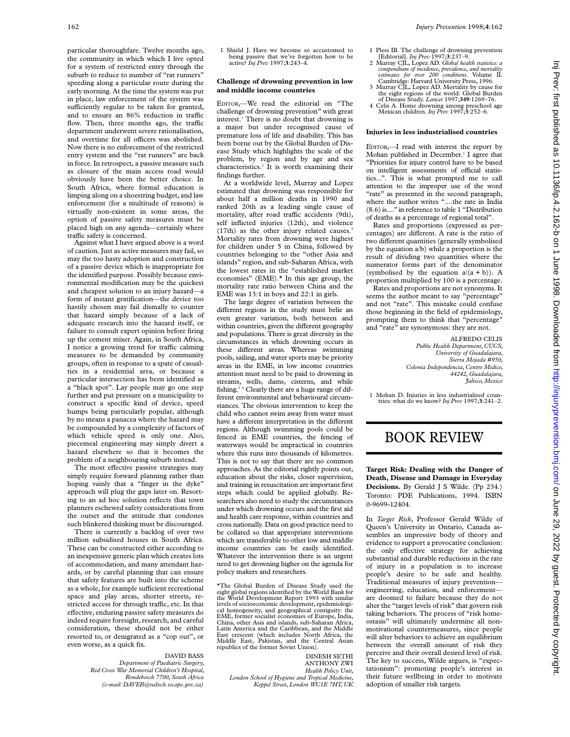particular thoroughfare. Twelve months ago, the community in which which I live opted for a system of restricted entry through the suburb to reduce to number of "rat runners" speeding along a particular route during the early morning. At the time the system was put in place, law enforcement of the system was sufficiently regular to be taken for granted, and to ensure an  $86\%$  reduction in traffic flow. Then, three months ago, the traffic department underwent severe rationalisation, and overtime for all officers was abolished. Now there is no enforcement of the restricted entry system and the "rat runners" are back in force. In retrospect, a passive measure such as closure of the main access road would obviously have been the better choice. In South Africa, where formal education is limping along on a shoestring budget, and law enforcement (for a multitude of reasons) is virtually non-existent in some areas, the option of passive safety measures must be placed high on any agenda—certainly where traffic safety is concerned.

Against what I have argued above is a word of caution. Just as active measures may fail, so may the too hasty adoption and construction of a passive device which is inappropriate for the identified purpose. Possibly because environmental modification may be the quickest and cheapest solution to an injury hazard—a form of instant gratification—the device too hastily chosen may fail dismally to counter that hazard simply because of a lack of adequate research into the hazard itself, or failure to consult expert opinion before firing up the cement mixer. Again, in South Africa, I notice a growing trend for traffic calming measures to be demanded by community groups, often in response to a spate of casualties in a residential area, or because a particular intersection has been identified as a "black spot". Lay people may go one step further and put pressure on a municipality to construct a specific kind of device, speed humps being particularly popular, although by no means a panacea where the hazard may be compounded by a complexity of factors of which vehicle speed is only one. Also, piecemeal engineering may simply divert a hazard elsewhere so that it becomes the problem of a neighbouring suburb instead.

The most effective passive strategies may simply require forward planning rather than hoping vainly that a "finger in the dyke" approach will plug the gaps later on. Resorting to an ad hoc solution reflects that town planners eschewed safety considerations from the outset and the attitude that condones such blinkered thinking must be discouraged.

There is currently a backlog of over two million subsidised houses in South Africa. These can be constructed either according to an inexpensive generic plan which creates lots of accommodation, and many attendant hazards, or by careful planning that can ensure that safety features are built into the scheme as a whole, for example sufficient recreational space and play areas, shorter streets, restricted access for through traffic, etc. In that effective, enduring passive safety measures do indeed require foresight, research, and careful consideration, these should not be either resorted to, or denigrated as a "cop out", or even worse, as a quick fix.

#### DAVID BASS

*Department of Paediatric Surgery, Red Cross War Memorial Children's Hospital, Rondebosch 7700, South Africa (e-mail: DAVEB@redxch.wcape.gov.za)*

1. Shield J. Have we become so accustomed to being passive that we've forgotten how to be active? *Inj Prev* 1997;**3**:243–4.

# **Challenge of drowning prevention in low and middle income countries**

EDITOR,—We read the editorial on "The challenge of drowning prevention" with great interest.<sup>1</sup> There is no doubt that drowning is a major but under recognised cause of premature loss of life and disability. This has been borne out by the Global Burden of Disease Study which highlights the scale of the problem, by region and by age and sex characteristics.2 It is worth examining their findings further.

At a worldwide level, Murray and Lopez estimated that drowning was responsible for about half a million deaths in 1990 and ranked 20th as a leading single cause of mortality, after road traffic accidents (9th), self inflicted injuries (12th), and violence (17th) as the other injury related causes.<sup>3</sup> Mortality rates from drowning were highest for children under 5 in China, followed by countries belonging to the "other Asia and islands" region, and sub-Saharan Africa, with the lowest rates in the "established market economies" (EME).\* In this age group, the mortality rate ratio between China and the EME was 13:1 in boys and 22:1 in girls.

The large degree of variation between the different regions in the study must belie an even greater variation, both between and within countries, given the different geography and populations. There is great diversity in the circumstances in which drowning occurs in these different areas. Whereas swimming pools, sailing, and water sports may be priority areas in the EME, in low income countries attention must need to be paid to drowning in streams, wells, dams, cisterns, and while fishing.1 4 Clearly there are a huge range of different environmental and behavioural circumstances. The obvious intervention to keep the child who cannot swim away from water must have a different interpretation in the different regions. Although swimming pools could be fenced in EME countries, the fencing of waterways would be impractical in countries where this runs into thousands of kilometres. This is not to say that there are no common approaches. As the editorial rightly points out, education about the risks, closer supervision, and training in resuscitation are important first steps which could be applied globally. Researchers also need to study the circumstances under which drowning occurs and the first aid and health care response, within countries and cross nationally. Data on good practice need to be collated so that appropriate interventions which are transferable to other low and middle income countries can be easily identified. Whatever the intervention there is an urgent need to get drowning higher on the agenda for policy makers and researchers.

\*The Global Burden of Disease Study used the eight global regions identified by the World Bank for the World Development Report 1993 with similar levels of socioeconomic development, epidemiological homogeneity, and geographical contiguity: the EME, former socialist economies of Europe, India, China, other Asia and islands, sub-Saharan Africa, Latin America and the Caribbean, and the Middle East crescent (which includes North Africa, the Middle East, Pakistan, and the Central Asian republics of the former Soviet Union).

DINESH SETHI ANTHONY ZWI *Health Policy Unit, London School of Hygiene and Tropical Medicine, Keppel Street, London WC1E 7HT, UK*

- 1 Pless IB. The challenge of drowning prevention [Editorial]. *Inj Prev* 1997;**3**:237–9.
- 2 Murray CJL, Lopez AD. *Global health statistics: a compendium of incidence, prevalence, and mortality estimates for over 200 conditions*. Volume II. Cambridge: Harvard University Press, 1996.
- 3 Murray CJL, Lopez AD. Mortality by cause for the eight regions of the world: Global Burden of Disease Study. *Lancet* 1997;**349**:1269–76.
- 4 Celis A. Home drowning among preschool age Mexican children. *Inj Prev* 1997;**3**:252–6.

### **Injuries in less industrialised countries**

EDITOR,—I read with interest the report by Mohan published in December.<sup>1</sup> I agree that "Priorities for injury control have to be based on intelligent assessments of official statistics...". This is what prompted me to call attention to the improper use of the word "rate" as presented in the second paragraph, where the author writes "....the rate in India (8.6) is...." in reference to table 1 "Distribution of deaths as a percentage of regional total".

Rates and proportions (expressed as percentages) are different. A rate is the ratio of two different quantities (generally symbolised by the equation a/b) while a proportion is the result of dividing two quantities where the numerator forms part of the denominator (symbolised by the equation  $a/(a + b)$ ). A proportion multiplied by 100 is a percentage.

Rates and proportions are not synonyms. It seems the author meant to say "percentage" and not "rate". This mistake could confuse those beginning in the field of epidemiology, prompting them to think that "percentage" and "rate" are synonymous: they are not.

> ALFREDO CELIS *Public Health Department, CUCS, University of Guadalajara, Sierra Mojada #950, Colonia Independencia, Centro Midico, 44242, Guadalajara, Jalisco, Mexico*

1 Mohan D. Injuries in less industrialised countries: what do we know? *Inj Prev* 1997;**3**:241–2.

# BOOK REVIEW

**Target Risk: Dealing with the Danger of Death, Disease and Damage in Everyday Decisions.** By Gerald J S Wilde. (Pp 234.) Toronto: PDE Publications, 1994. ISBN 0-9699-12404.

In *Target Risk*, Professor Gerald Wilde of Queen's University in Ontario, Canada assembles an impressive body of theory and evidence to support a provocative conclusion: the only effective strategy for achieving substantial and durable reductions in the rate of injury in a population is to increase people's desire to be safe and healthy. Traditional measures of injury prevention engineering, education, and enforcement are doomed to failure because they do not alter the "target levels of risk" that govern risk taking behaviors. The process of "risk homeostasis" will ultimately undermine all nonmotivational countermeasures, since people will alter behaviors to achieve an equilibrium between the overall amount of risk they perceive and their overall desired level of risk. The key to success, Wilde argues, is "expectationism": promoting people's interest in their future wellbeing in order to motivate adoption of smaller risk targets.